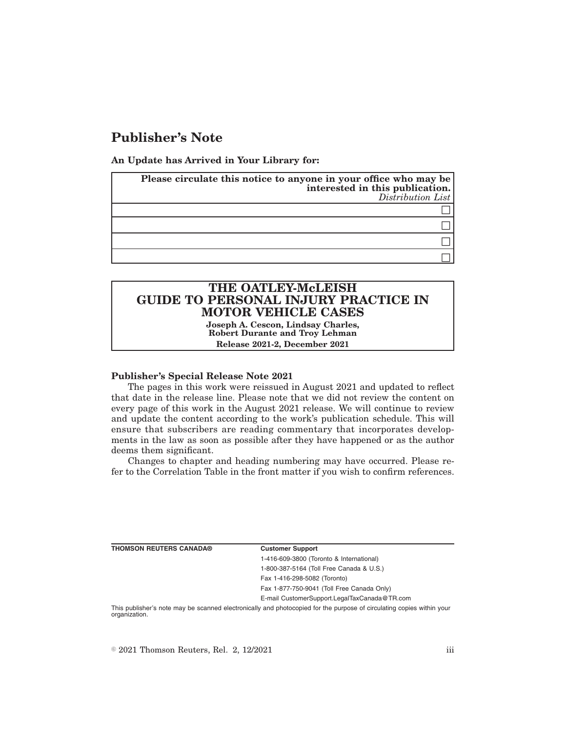# **Publisher's Note**

**An Update has Arrived in Your Library for:**

| Please circulate this notice to anyone in your office who may be<br>interested in this publication.<br>Distribution List |  |
|--------------------------------------------------------------------------------------------------------------------------|--|
|                                                                                                                          |  |
|                                                                                                                          |  |
|                                                                                                                          |  |
|                                                                                                                          |  |

# **THE OATLEY-McLEISH GUIDE TO PERSONAL INJURY PRACTICE IN MOTOR VEHICLE CASES**

**Joseph A. Cescon, Lindsay Charles, Robert Durante and Troy Lehman Release 2021-2, December 2021**

## **Publisher's Special Release Note 2021**

The pages in this work were reissued in August 2021 and updated to reflect that date in the release line. Please note that we did not review the content on every page of this work in the August 2021 release. We will continue to review and update the content according to the work's publication schedule. This will ensure that subscribers are reading commentary that incorporates developments in the law as soon as possible after they have happened or as the author deems them significant.

Changes to chapter and heading numbering may have occurred. Please refer to the Correlation Table in the front matter if you wish to confirm references.

|  | THOMSON REUTERS CANADA® |
|--|-------------------------|
|  |                         |

**Customer Support** 

1-416-609-3800 (Toronto & International) 1-800-387-5164 (Toll Free Canada & U.S.) Fax 1-416-298-5082 (Toronto) Fax 1-877-750-9041 (Toll Free Canada Only)

E-mail CustomerSupport.LegalTaxCanada@TR.com

This publisher's note may be scanned electronically and photocopied for the purpose of circulating copies within your organization.

 $\degree$  2021 Thomson Reuters, Rel. 2, 12/2021 iii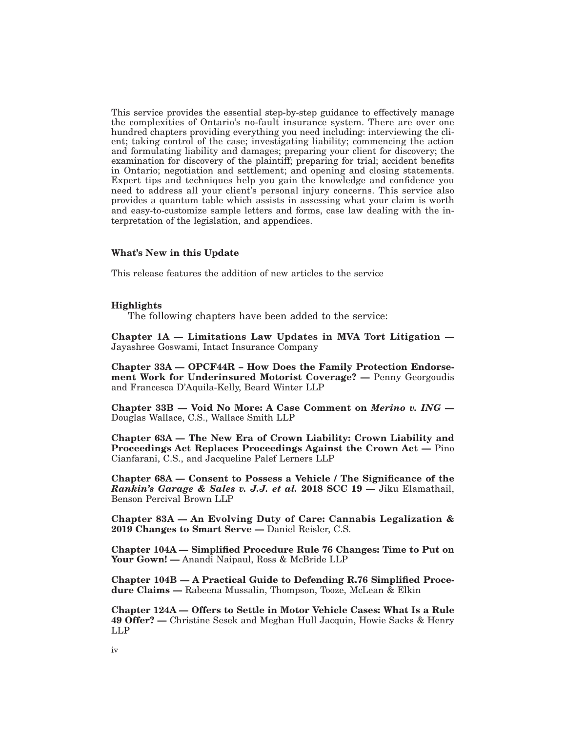This service provides the essential step-by-step guidance to effectively manage the complexities of Ontario's no-fault insurance system. There are over one hundred chapters providing everything you need including: interviewing the client; taking control of the case; investigating liability; commencing the action and formulating liability and damages; preparing your client for discovery; the examination for discovery of the plaintiff; preparing for trial; accident benefits in Ontario; negotiation and settlement; and opening and closing statements. Expert tips and techniques help you gain the knowledge and confidence you need to address all your client's personal injury concerns. This service also provides a quantum table which assists in assessing what your claim is worth and easy-to-customize sample letters and forms, case law dealing with the interpretation of the legislation, and appendices.

#### **What's New in this Update**

This release features the addition of new articles to the service

#### **Highlights**

The following chapters have been added to the service:

**Chapter 1A — Limitations Law Updates in MVA Tort Litigation —** Jayashree Goswami, Intact Insurance Company

**Chapter 33A — OPCF44R – How Does the Family Protection Endorsement Work for Underinsured Motorist Coverage? —** Penny Georgoudis and Francesca D'Aquila-Kelly, Beard Winter LLP

**Chapter 33B — Void No More: A Case Comment on** *Merino v. ING* **—** Douglas Wallace, C.S., Wallace Smith LLP

**Chapter 63A — The New Era of Crown Liability: Crown Liability and Proceedings Act Replaces Proceedings Against the Crown Act —** Pino Cianfarani, C.S., and Jacqueline Palef Lerners LLP

**Chapter 68A — Consent to Possess a Vehicle / The Significance of the** *Rankin's Garage & Sales v. J.J. et al.* **2018 SCC 19 —** Jiku Elamathail, Benson Percival Brown LLP

**Chapter 83A — An Evolving Duty of Care: Cannabis Legalization & 2019 Changes to Smart Serve —** Daniel Reisler, C.S.

**Chapter 104A — Simplified Procedure Rule 76 Changes: Time to Put on** Your Gown! — Anandi Naipaul, Ross & McBride LLP

**Chapter 104B — A Practical Guide to Defending R.76 Simplified Procedure Claims —** Rabeena Mussalin, Thompson, Tooze, McLean & Elkin

**Chapter 124A — Offers to Settle in Motor Vehicle Cases: What Is a Rule 49 Offer? —** Christine Sesek and Meghan Hull Jacquin, Howie Sacks & Henry LLP